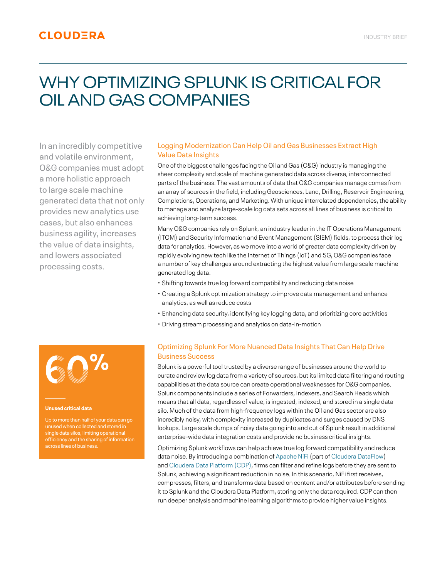# WHY OPTIMIZING SPLUNK IS CRITICAL FOR OIL AND GAS COMPANIES

In an incredibly competitive and volatile environment, O&G companies must adopt a more holistic approach to large scale machine generated data that not only provides new analytics use cases, but also enhances business agility, increases the value of data insights, and lowers associated processing costs.



One of the biggest challenges facing the Oil and Gas (O&G) industry is managing the sheer complexity and scale of machine generated data across diverse, interconnected parts of the business. The vast amounts of data that O&G companies manage comes from an array of sources in the field, including Geosciences, Land, Drilling, Reservoir Engineering, Completions, Operations, and Marketing. With unique interrelated dependencies, the ability to manage and analyze large-scale log data sets across all lines of business is critical to achieving long-term success.

Many O&G companies rely on Splunk, an industry leader in the IT Operations Management (ITOM) and Security Information and Event Management (SIEM) fields, to process their log data for analytics. However, as we move into a world of greater data complexity driven by rapidly evolving new tech like the Internet of Things (IoT) and 5G, O&G companies face a number of key challenges around extracting the highest value from large scale machine generated log data.

- Shifting towards true log forward compatibility and reducing data noise
- Creating a Splunk optimization strategy to improve data management and enhance analytics, as well as reduce costs
- Enhancing data security, identifying key logging data, and prioritizing core activities
- Driving stream processing and analytics on data-in-motion

# Optimizing Splunk For More Nuanced Data Insights That Can Help Drive Business Success

Splunk is a powerful tool trusted by a diverse range of businesses around the world to curate and review log data from a variety of sources, but its limited data filtering and routing capabilities at the data source can create operational weaknesses for O&G companies. Splunk components include a series of Forwarders, Indexers, and Search Heads which means that all data, regardless of value, is ingested, indexed, and stored in a single data silo. Much of the data from high-frequency logs within the Oil and Gas sector are also incredibly noisy, with complexity increased by duplicates and surges caused by DNS lookups. Large scale dumps of noisy data going into and out of Splunk result in additional enterprise-wide data integration costs and provide no business critical insights.

Optimizing Splunk workflows can help achieve true log forward compatibility and reduce data noise. By introducing a combination of [Apache NiFi](https://www.cloudera.com/products/open-source/apache-hadoop/apache-nifi.html) (part of [Cloudera DataFlow](https://www.cloudera.com/products/cdf.html)) and [Cloudera Data Platform \(CDP\)](https://www.cloudera.com/products/cloudera-data-platform.html), firms can filter and refine logs before they are sent to Splunk, achieving a significant reduction in noise. In this scenario, NiFi first receives, compresses, filters, and transforms data based on content and/or attributes before sending it to Splunk and the Cloudera Data Platform, storing only the data required. CDP can then run deeper analysis and machine learning algorithms to provide higher value insights.



#### **Unused critical data**

Up to more than half of your data can go single data silos, limiting operational